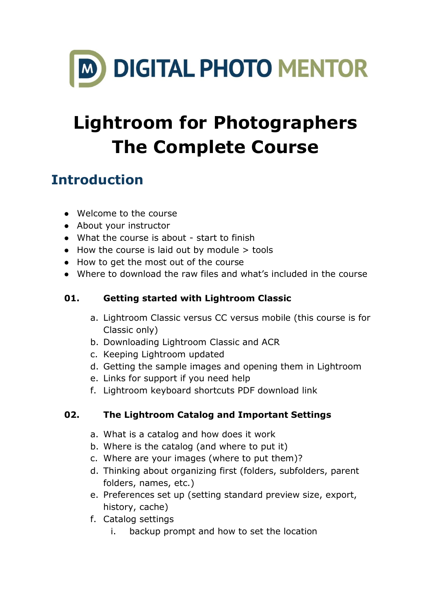

# **Lightroom for Photographers The Complete Course**

# **Introduction**

- Welcome to the course
- About your instructor
- What the course is about start to finish
- $\bullet$  How the course is laid out by module  $>$  tools
- How to get the most out of the course
- Where to download the raw files and what's included in the course

## **01. Getting started with Lightroom Classic**

- a. Lightroom Classic versus CC versus mobile (this course is for Classic only)
- b. Downloading Lightroom Classic and ACR
- c. Keeping Lightroom updated
- d. Getting the sample images and opening them in Lightroom
- e. Links for support if you need help
- f. Lightroom keyboard shortcuts PDF download link

# **02. The Lightroom Catalog and Important Settings**

- a. What is a catalog and how does it work
- b. Where is the catalog (and where to put it)
- c. Where are your images (where to put them)?
- d. Thinking about organizing first (folders, subfolders, parent folders, names, etc.)
- e. Preferences set up (setting standard preview size, export, history, cache)
- f. Catalog settings
	- i. backup prompt and how to set the location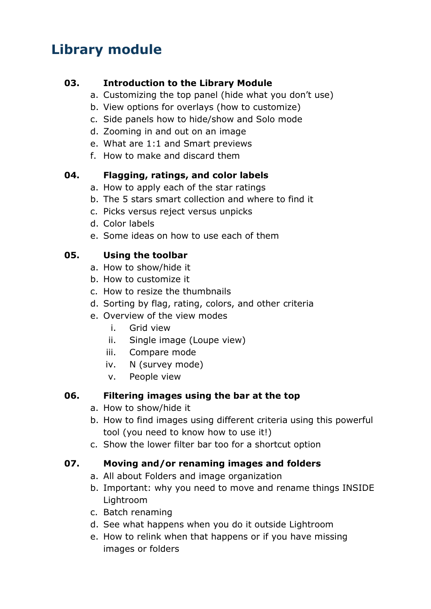# **Library module**

#### **03. Introduction to the Library Module**

- a. Customizing the top panel (hide what you don't use)
- b. View options for overlays (how to customize)
- c. Side panels how to hide/show and Solo mode
- d. Zooming in and out on an image
- e. What are 1:1 and Smart previews
- f. How to make and discard them

#### **04. Flagging, ratings, and color labels**

- a. How to apply each of the star ratings
- b. The 5 stars smart collection and where to find it
- c. Picks versus reject versus unpicks
- d. Color labels
- e. Some ideas on how to use each of them

#### **05. Using the toolbar**

- a. How to show/hide it
- b. How to customize it
- c. How to resize the thumbnails
- d. Sorting by flag, rating, colors, and other criteria
- e. Overview of the view modes
	- i. Grid view
	- ii. Single image (Loupe view)
	- iii. Compare mode
	- iv. N (survey mode)
	- v. People view

#### **06. Filtering images using the bar at the top**

- a. How to show/hide it
- b. How to find images using different criteria using this powerful tool (you need to know how to use it!)
- c. Show the lower filter bar too for a shortcut option

#### **07. Moving and/or renaming images and folders**

- a. All about Folders and image organization
- b. Important: why you need to move and rename things INSIDE Lightroom
- c. Batch renaming
- d. See what happens when you do it outside Lightroom
- e. How to relink when that happens or if you have missing images or folders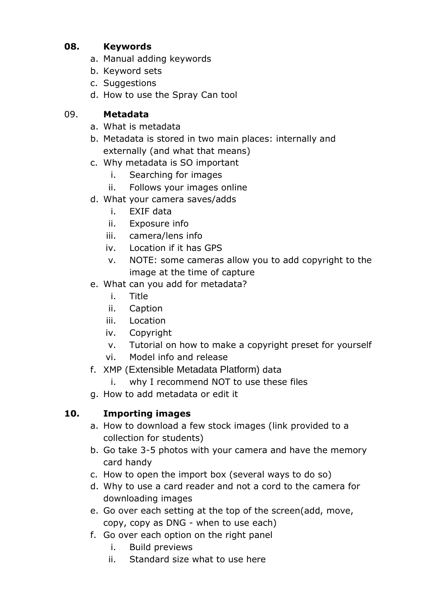#### **08. Keywords**

- a. Manual adding keywords
- b. Keyword sets
- c. Suggestions
- d. How to use the Spray Can tool

#### 09. **Metadata**

- a. What is metadata
- b. Metadata is stored in two main places: internally and externally (and what that means)
- c. Why metadata is SO important
	- i. Searching for images
	- ii. Follows your images online
- d. What your camera saves/adds
	- i. EXIF data
	- ii. Exposure info
	- iii. camera/lens info
	- iv. Location if it has GPS
	- v. NOTE: some cameras allow you to add copyright to the image at the time of capture
- e. What can you add for metadata?
	- i. Title
	- ii. Caption
	- iii. Location
	- iv. Copyright
	- v. Tutorial on how to make a copyright preset for yourself
	- vi. Model info and release
- f. XMP (Extensible Metadata Platform) data
	- i. why I recommend NOT to use these files
- g. How to add metadata or edit it

# **10. Importing images**

- a. How to download a few stock images (link provided to a collection for students)
- b. Go take 3-5 photos with your camera and have the memory card handy
- c. How to open the import box (several ways to do so)
- d. Why to use a card reader and not a cord to the camera for downloading images
- e. Go over each setting at the top of the screen(add, move, copy, copy as DNG - when to use each)
- f. Go over each option on the right panel
	- i. Build previews
	- ii. Standard size what to use here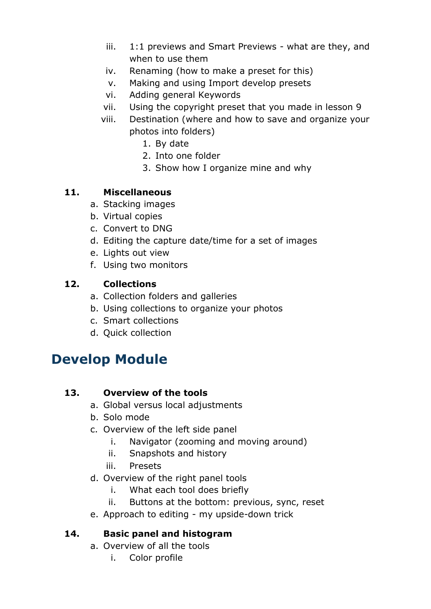- iii. 1:1 previews and Smart Previews what are they, and when to use them
- iv. Renaming (how to make a preset for this)
- v. Making and using Import develop presets
- vi. Adding general Keywords
- vii. Using the copyright preset that you made in lesson 9
- viii. Destination (where and how to save and organize your photos into folders)
	- 1. By date
	- 2. Into one folder
	- 3. Show how I organize mine and why

#### **11. Miscellaneous**

- a. Stacking images
- b. Virtual copies
- c. Convert to DNG
- d. Editing the capture date/time for a set of images
- e. Lights out view
- f. Using two monitors

#### **12. Collections**

- a. Collection folders and galleries
- b. Using collections to organize your photos
- c. Smart collections
- d. Quick collection

# **Develop Module**

#### **13. Overview of the tools**

- a. Global versus local adjustments
- b. Solo mode
- c. Overview of the left side panel
	- i. Navigator (zooming and moving around)
	- ii. Snapshots and history
	- iii. Presets
- d. Overview of the right panel tools
	- i. What each tool does briefly
	- ii. Buttons at the bottom: previous, sync, reset
- e. Approach to editing my upside-down trick

#### **14. Basic panel and histogram**

- a. Overview of all the tools
	- i. Color profile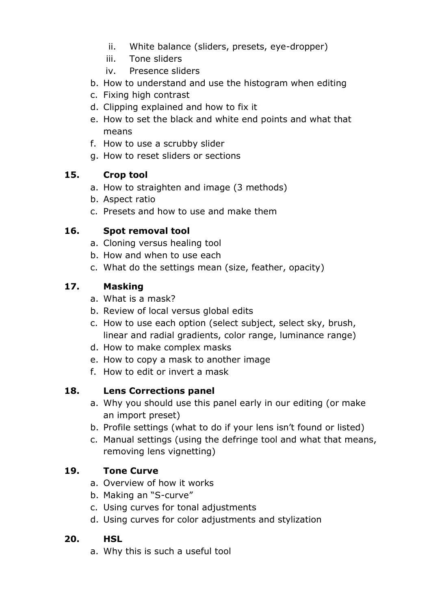- ii. White balance (sliders, presets, eye-dropper)
- iii. Tone sliders
- iv. Presence sliders
- b. How to understand and use the histogram when editing
- c. Fixing high contrast
- d. Clipping explained and how to fix it
- e. How to set the black and white end points and what that means
- f. How to use a scrubby slider
- g. How to reset sliders or sections

#### **15. Crop tool**

- a. How to straighten and image (3 methods)
- b. Aspect ratio
- c. Presets and how to use and make them

#### **16. Spot removal tool**

- a. Cloning versus healing tool
- b. How and when to use each
- c. What do the settings mean (size, feather, opacity)

#### **17. Masking**

- a. What is a mask?
- b. Review of local versus global edits
- c. How to use each option (select subject, select sky, brush, linear and radial gradients, color range, luminance range)
- d. How to make complex masks
- e. How to copy a mask to another image
- f. How to edit or invert a mask

#### **18. Lens Corrections panel**

- a. Why you should use this panel early in our editing (or make an import preset)
- b. Profile settings (what to do if your lens isn't found or listed)
- c. Manual settings (using the defringe tool and what that means, removing lens vignetting)

#### **19. Tone Curve**

- a. Overview of how it works
- b. Making an "S-curve"
- c. Using curves for tonal adjustments
- d. Using curves for color adjustments and stylization

#### **20. HSL**

a. Why this is such a useful tool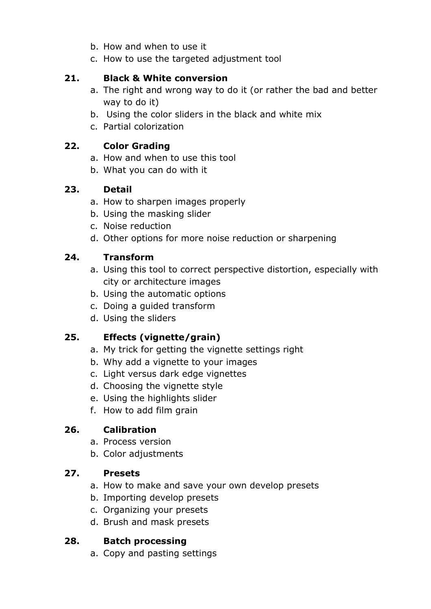- b. How and when to use it
- c. How to use the targeted adjustment tool

#### **21. Black & White conversion**

- a. The right and wrong way to do it (or rather the bad and better way to do it)
- b. Using the color sliders in the black and white mix
- c. Partial colorization

#### **22. Color Grading**

- a. How and when to use this tool
- b. What you can do with it

#### **23. Detail**

- a. How to sharpen images properly
- b. Using the masking slider
- c. Noise reduction
- d. Other options for more noise reduction or sharpening

#### **24. Transform**

- a. Using this tool to correct perspective distortion, especially with city or architecture images
- b. Using the automatic options
- c. Doing a guided transform
- d. Using the sliders

## **25. Effects (vignette/grain)**

- a. My trick for getting the vignette settings right
- b. Why add a vignette to your images
- c. Light versus dark edge vignettes
- d. Choosing the vignette style
- e. Using the highlights slider
- f. How to add film grain

## **26. Calibration**

- a. Process version
- b. Color adjustments

#### **27. Presets**

- a. How to make and save your own develop presets
- b. Importing develop presets
- c. Organizing your presets
- d. Brush and mask presets

#### **28. Batch processing**

a. Copy and pasting settings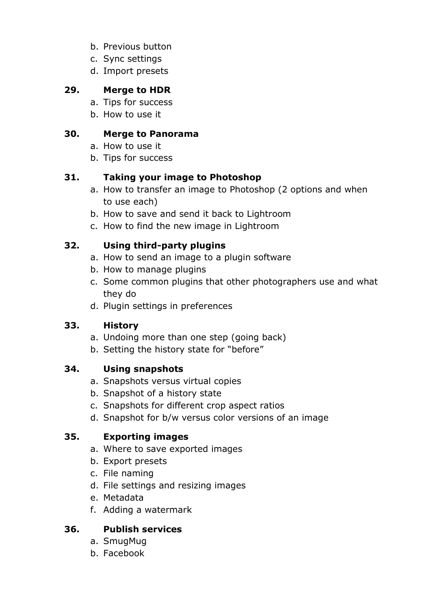- b. Previous button
- c. Sync settings
- d. Import presets

#### **29. Merge to HDR**

- a. Tips for success
- b. How to use it

#### **30. Merge to Panorama**

- a. How to use it
- b. Tips for success

#### **31. Taking your image to Photoshop**

- a. How to transfer an image to Photoshop (2 options and when to use each)
- b. How to save and send it back to Lightroom
- c. How to find the new image in Lightroom

#### **32. Using third-party plugins**

- a. How to send an image to a plugin software
- b. How to manage plugins
- c. Some common plugins that other photographers use and what they do
- d. Plugin settings in preferences

#### **33. History**

- a. Undoing more than one step (going back)
- b. Setting the history state for "before"

#### **34. Using snapshots**

- a. Snapshots versus virtual copies
- b. Snapshot of a history state
- c. Snapshots for different crop aspect ratios
- d. Snapshot for b/w versus color versions of an image

#### **35. Exporting images**

- a. Where to save exported images
- b. Export presets
- c. File naming
- d. File settings and resizing images
- e. Metadata
- f. Adding a watermark

#### **36. Publish services**

- a. SmugMug
- b. Facebook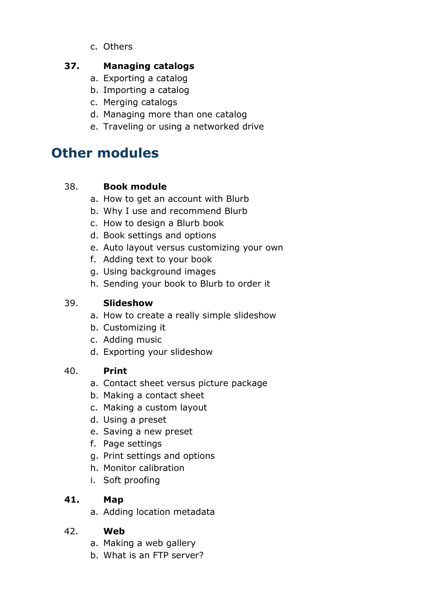c. Others

#### **37. Managing catalogs**

- a. Exporting a catalog
- b. Importing a catalog
- c. Merging catalogs
- d. Managing more than one catalog
- e. Traveling or using a networked drive

# **Other modules**

#### 38. **Book module**

- a. How to get an account with Blurb
- b. Why I use and recommend Blurb
- c. How to design a Blurb book
- d. Book settings and options
- e. Auto layout versus customizing your own
- f. Adding text to your book
- g. Using background images
- h. Sending your book to Blurb to order it

#### 39. **Slideshow**

- a. How to create a really simple slideshow
- b. Customizing it
- c. Adding music
- d. Exporting your slideshow

#### 40. **Print**

- a. Contact sheet versus picture package
- b. Making a contact sheet
- c. Making a custom layout
- d. Using a preset
- e. Saving a new preset
- f. Page settings
- g. Print settings and options
- h. Monitor calibration
- i. Soft proofing

#### **41. Map**

a. Adding location metadata

#### 42. **Web**

- a. Making a web gallery
- b. What is an FTP server?